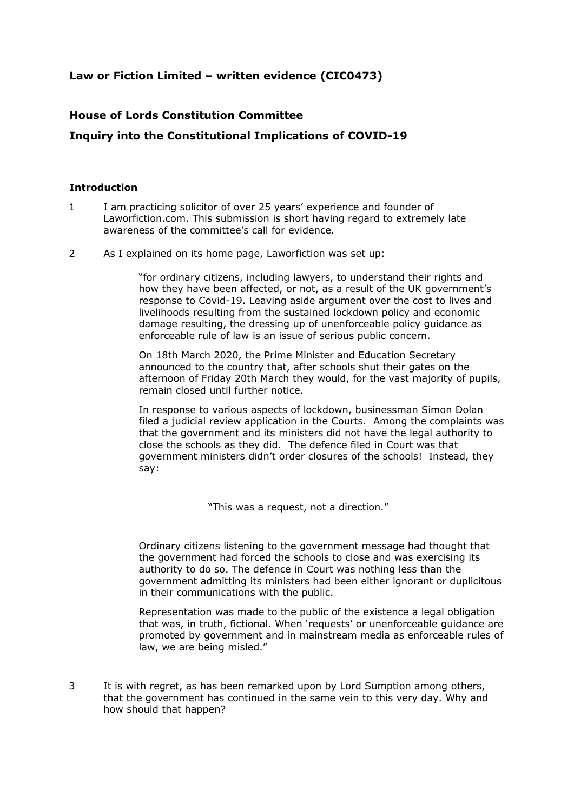## **Law or Fiction Limited – written evidence (CIC0473)**

## **House of Lords Constitution Committee**

## **Inquiry into the Constitutional Implications of COVID-19**

## **Introduction**

- 1 I am practicing solicitor of over 25 years' experience and founder of Laworfiction.com. This submission is short having regard to extremely late awareness of the committee's call for evidence.
- 2 As I explained on its home page, Laworfiction was set up:

"for ordinary citizens, including lawyers, to understand their rights and how they have been affected, or not, as a result of the UK government's response to Covid-19. Leaving aside argument over the cost to lives and livelihoods resulting from the sustained lockdown policy and economic damage resulting, the dressing up of unenforceable policy guidance as enforceable rule of law is an issue of serious public concern.

On 18th March 2020, the Prime Minister and Education Secretary announced to the country that, after schools shut their gates on the afternoon of Friday 20th March they would, for the vast majority of pupils, remain closed until further notice.

In response to various aspects of lockdown, businessman Simon Dolan filed a judicial review application in the Courts. Among the complaints was that the government and its ministers did not have the legal authority to close the schools as they did. The defence filed in Court was that government ministers didn't order closures of the schools! Instead, they say:

"This was a request, not a direction."

Ordinary citizens listening to the government message had thought that the government had forced the schools to close and was exercising its authority to do so. The defence in Court was nothing less than the government admitting its ministers had been either ignorant or duplicitous in their communications with the public.

Representation was made to the public of the existence a legal obligation that was, in truth, fictional. When 'requests' or unenforceable guidance are promoted by government and in mainstream media as enforceable rules of law, we are being misled."

3 It is with regret, as has been remarked upon by Lord Sumption among others, that the government has continued in the same vein to this very day. Why and how should that happen?